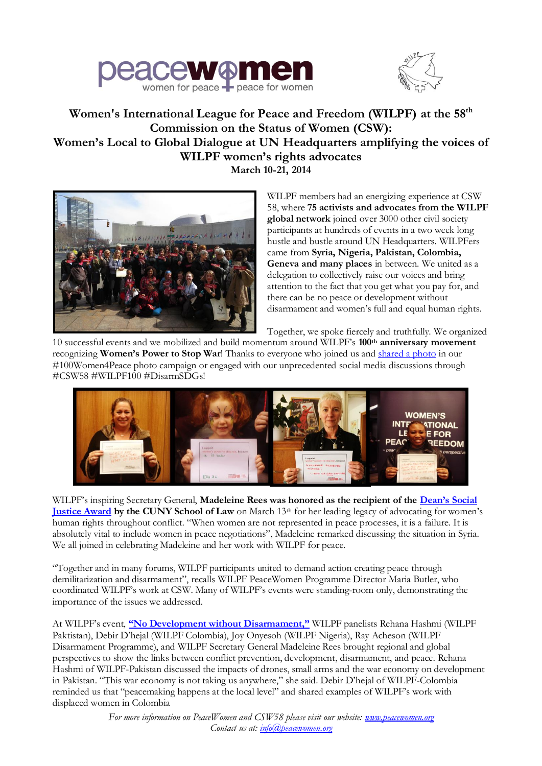



## **Women's International League for Peace and Freedom (WILPF) at the 58th Commission on the Status of Women (CSW): Women's Local to Global Dialogue at UN Headquarters amplifying the voices of WILPF women's rights advocates March 10-21, 2014**



WILPF members had an energizing experience at CSW 58, where **75 activists and advocates from the WILPF global network** joined over 3000 other civil society participants at hundreds of events in a two week long hustle and bustle around UN Headquarters. WILPFers came from **Syria, Nigeria, Pakistan, Colombia, Geneva and many places** in between. We united as a delegation to collectively raise our voices and bring attention to the fact that you get what you pay for, and there can be no peace or development without disarmament and women's full and equal human rights.

Together, we spoke fiercely and truthfully. We organized

10 successful events and we mobilized and build momentum around WILPF's **100th anniversary movement** recognizing **Women's Power to Stop War**! Thanks to everyone who joined us and [shared a photo](http://instagram.com/wilpf) in our #100Women4Peace photo campaign or engaged with our unprecedented social media discussions through #CSW58 #WILPF100 #DisarmSDGs!



WILPF's inspiring Secretary General, Madeleine Rees was honored as the recipient of the **Dean's Social [Justice Award](http://www.peacewomen.org/news_article.php?id=432&type=event)** by the CUNY School of Law on March 13<sup>th</sup> for her leading legacy of advocating for women's human rights throughout conflict. "When women are not represented in peace processes, it is a failure. It is absolutely vital to include women in peace negotiations", Madeleine remarked discussing the situation in Syria. We all joined in celebrating Madeleine and her work with WILPF for peace.

"Together and in many forums, WILPF participants united to demand action creating peace through demilitarization and disarmament", recalls WILPF PeaceWomen Programme Director Maria Butler, who coordinated WILPF's work at CSW. Many of WILPF's events were standing-room only, demonstrating the importance of the issues we addressed.

At WILPF's event, **["No Development without Disarmament,"](http://peacewomen.org/news_article.php?id=437&type=event)** WILPF panelists Rehana Hashmi (WILPF Paktistan), Debir D'hejal (WILPF Colombia), Joy Onyesoh (WILPF Nigeria), Ray Acheson (WILPF Disarmament Programme), and WILPF Secretary General Madeleine Rees brought regional and global perspectives to show the links between conflict prevention, development, disarmament, and peace. Rehana Hashmi of WILPF-Pakistan discussed the impacts of drones, small arms and the war economy on development in Pakistan. "This war economy is not taking us anywhere," she said. Debir D'hejal of WILPF-Colombia reminded us that "peacemaking happens at the local level" and shared examples of WILPF's work with displaced women in Colombia

> *For more information on PeaceWomen and CSW58 please visit our website: www.peacewomen.org Contact us at: info@peacewomen.org*